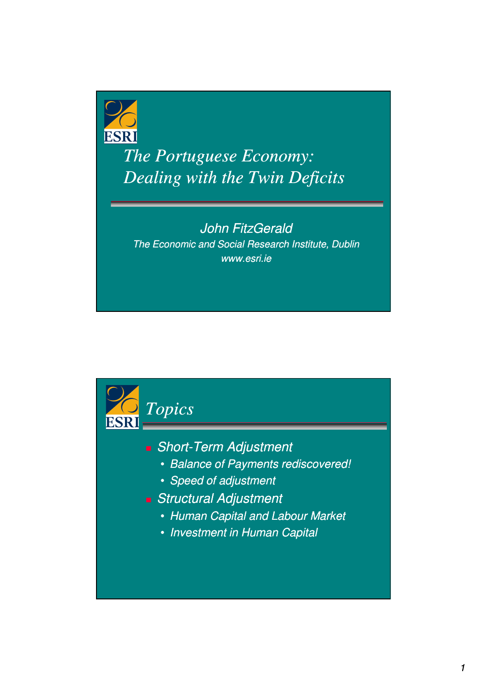

*The Portuguese Economy: Dealing with the Twin Deficits*

## John FitzGerald The Economic and Social Research Institute, Dublin www.esri.ie

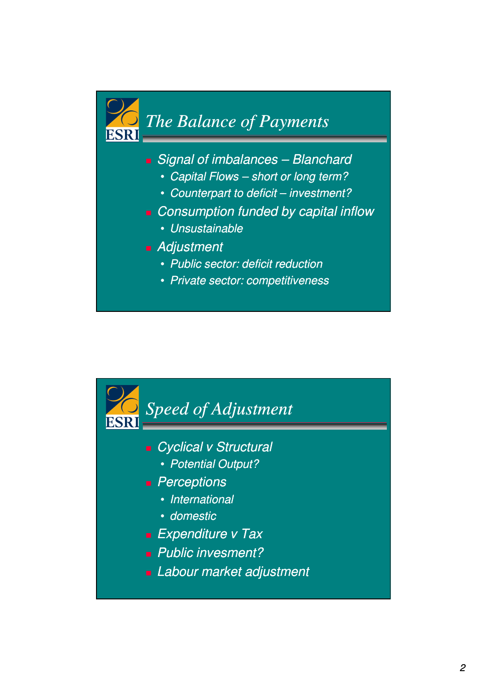

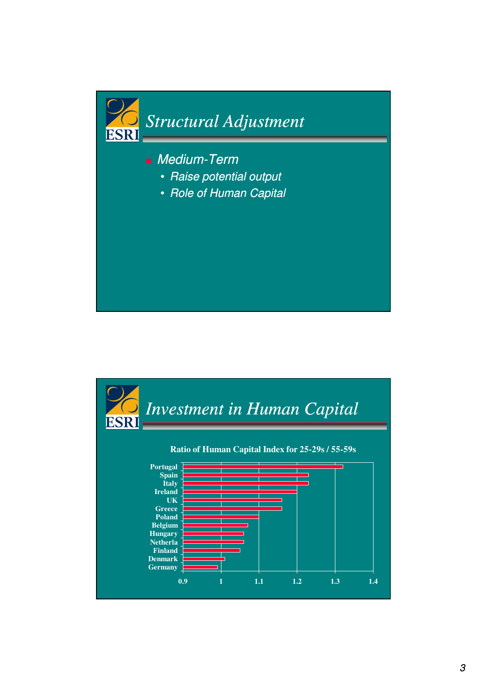

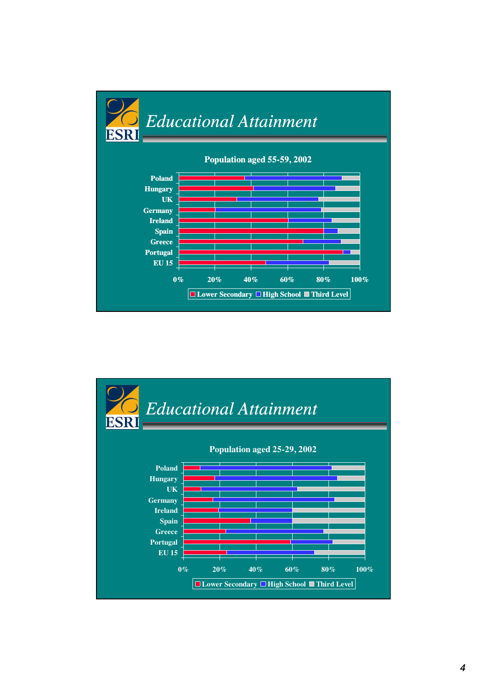

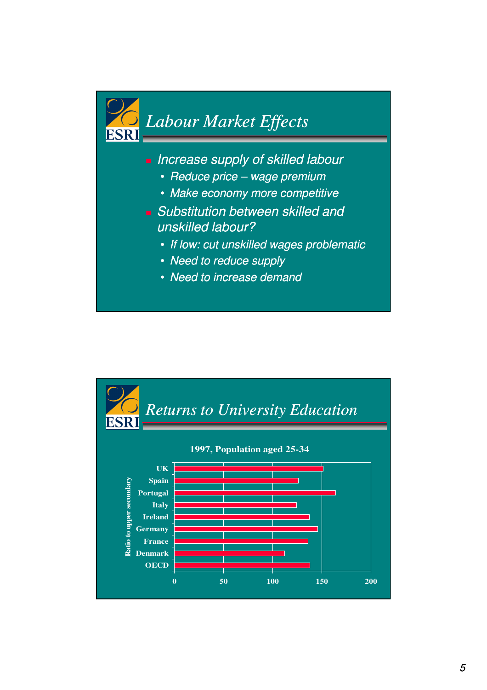

**Increase supply of skilled labour** 

- Reduce price wage premium
- Make economy more competitive
- **Substitution between skilled and** unskilled labour?
	- If low: cut unskilled wages problematic
	- Need to reduce supply
	- Need to increase demand

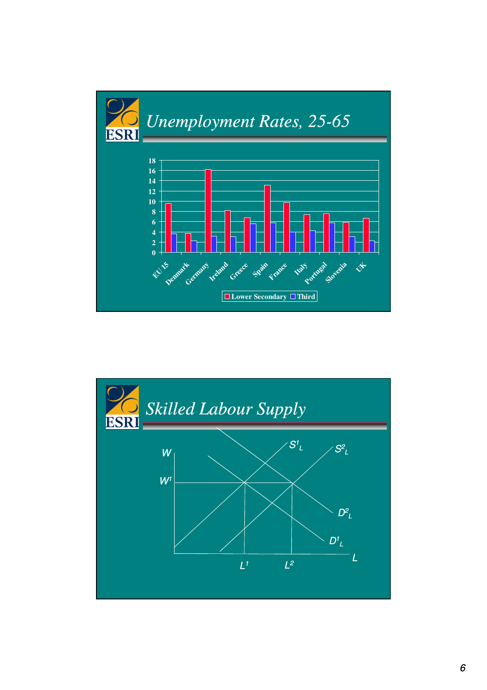